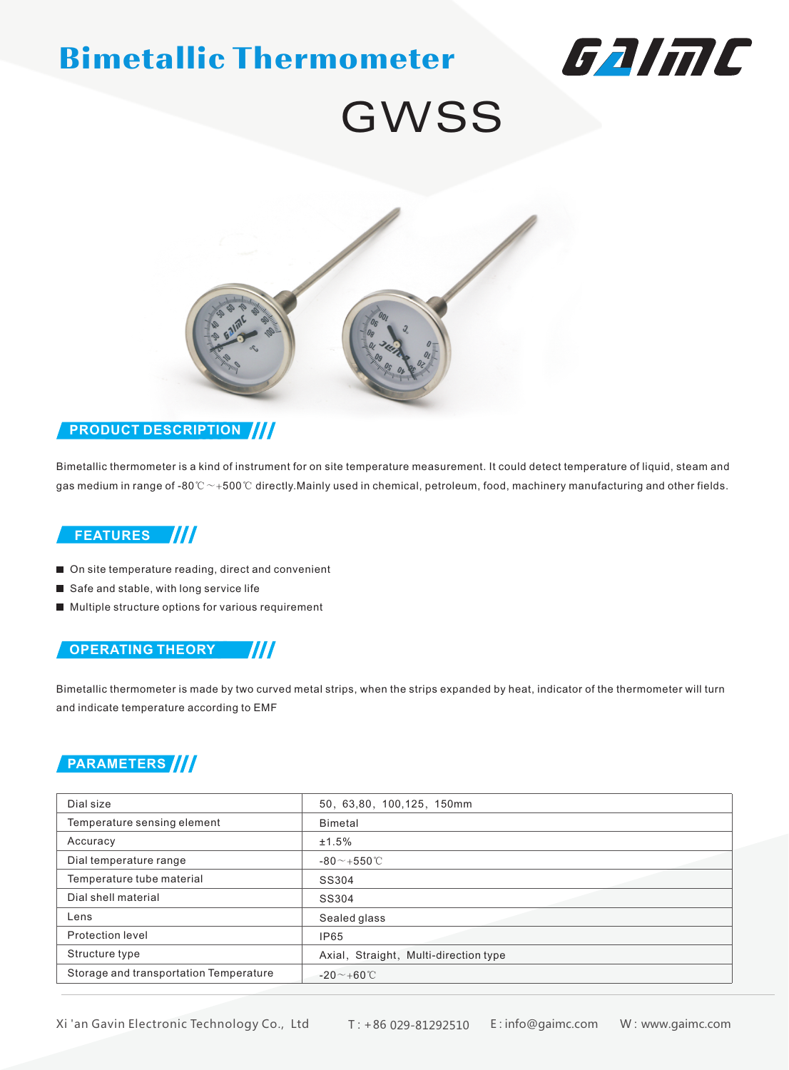# Bimetallic Thermometer



# GWSS



#### **PRODUCT DESCRIPTION**

Bimetallic thermometer is a kind of instrument for on site temperature measurement. It could detect temperature of liquid, steam and gas medium in range of -80 $°C \sim +500°C$  directly.Mainly used in chemical, petroleum, food, machinery manufacturing and other fields.

#### **FEATURES**

- On site temperature reading, direct and convenient
- Safe and stable, with long service life
- **Multiple structure options for various requirement**

#### **OPERATING THEORY** 7/17

Bimetallic thermometer is made by two curved metal strips, when the strips expanded by heat, indicator of the thermometer will turn and indicate temperature according to EMF

### **PARAMETERS**

| Dial size                              | 50, 63,80, 100,125, 150mm             |
|----------------------------------------|---------------------------------------|
| Temperature sensing element            | Bimetal                               |
| Accuracy                               | ±1.5%                                 |
| Dial temperature range                 | $-80^\sim +550^\circ C$               |
| Temperature tube material              | SS304                                 |
| Dial shell material                    | SS304                                 |
| Lens                                   | Sealed glass                          |
| Protection level                       | IP65                                  |
| Structure type                         | Axial, Straight, Multi-direction type |
| Storage and transportation Temperature | $-20$ $\sim$ +60 °C                   |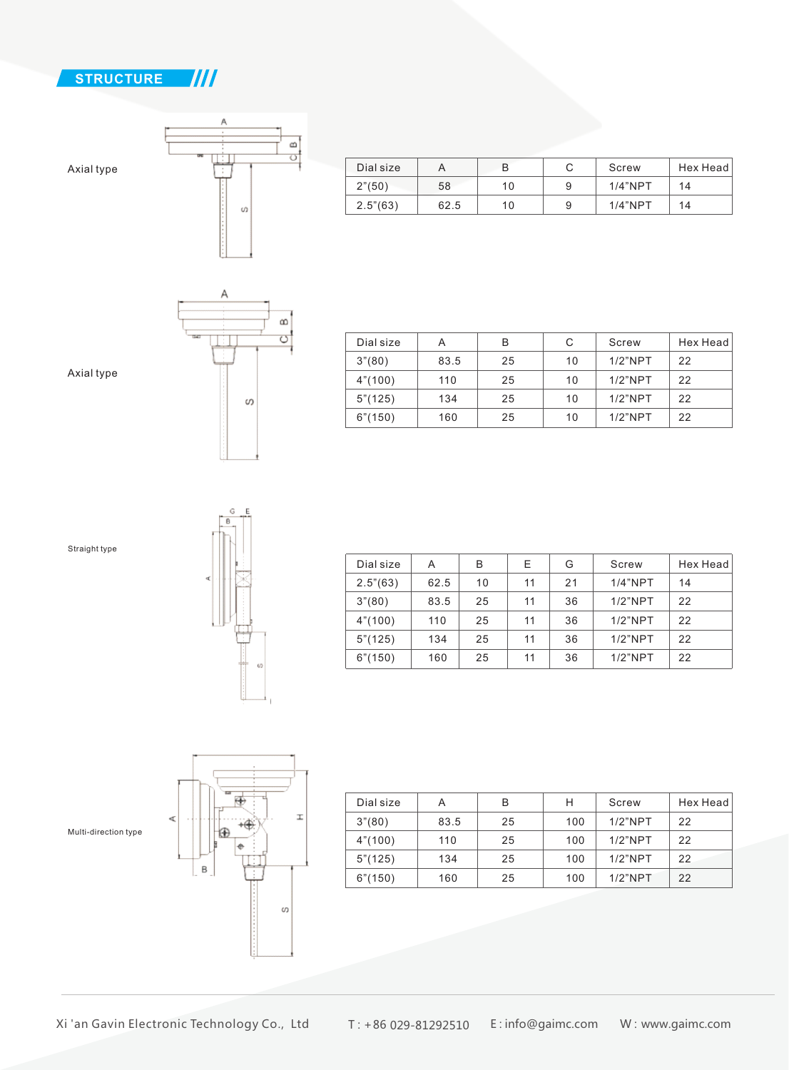

Axial type



| Dial size              |      |    |   | Screw      | Hex Head |
|------------------------|------|----|---|------------|----------|
| $2^{\prime\prime}(50)$ | 58   | 10 | 9 | $1/4$ "NPT | 14       |
| 2.5''(63)              | 62.5 | 10 | 9 | $1/4$ "NPT | 14       |
|                        |      |    |   |            |          |



| Dial size | А    | в  | С  | Screw      | Hex Head |
|-----------|------|----|----|------------|----------|
| 3''(80)   | 83.5 | 25 | 10 | $1/2$ "NPT | 22       |
| 4" (100)  | 110  | 25 | 10 | $1/2$ "NPT | 22       |
| 5''(125)  | 134  | 25 | 10 | $1/2$ "NPT | 22       |
| 6" (150)  | 160  | 25 | 10 | $1/2$ "NPT | 22       |

Axial type





| Dial size         | Α    | В  | Е  | G  | Screw      | Hex Head |
|-------------------|------|----|----|----|------------|----------|
| $2.5^{\circ}(63)$ | 62.5 | 10 | 11 | 21 | $1/4$ "NPT | 14       |
| 3''(80)           | 83.5 | 25 | 11 | 36 | $1/2$ "NPT | 22       |
| 4"(100)           | 110  | 25 | 11 | 36 | $1/2$ "NPT | 22       |
| 5"(125)           | 134  | 25 | 11 | 36 | $1/2$ "NPT | 22       |
| 6"(150)           | 160  | 25 | 11 | 36 | $1/2$ "NPT | 22       |



| Dial size | А    | в  | н   | Screw      | Hex Head |
|-----------|------|----|-----|------------|----------|
| 3''(80)   | 83.5 | 25 | 100 | $1/2$ "NPT | 22       |
| 4" (100)  | 110  | 25 | 100 | $1/2$ "NPT | 22       |
| 5"(125)   | 134  | 25 | 100 | $1/2$ "NPT | 22       |
| 6" (150)  | 160  | 25 | 100 | $1/2$ "NPT | 22       |